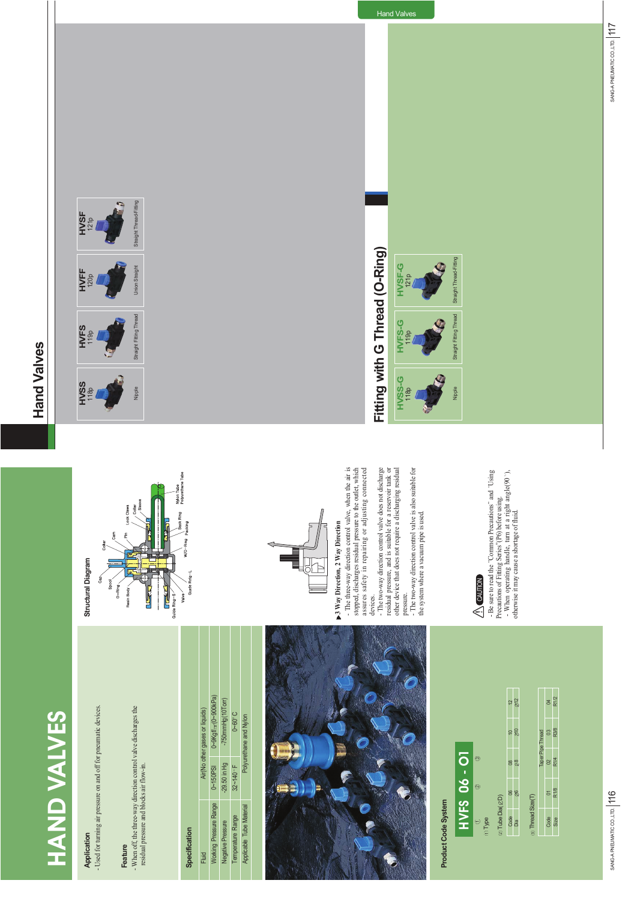

#### Application

**Application Control Diagram**<br>Application - Used for turning air pressure on and off for pneumatic devices. matic devices. - Used for turning air pressure on and off for pneu

**Feature**<br>- When off, the three-way direction control valve discharges the<br>residual pressure and blocks air flow-in. - When off, the three-way direction control valve discharges the residual pressure and blocks air flow-in.

## **Specification**

**Runde** 

Valve Ľ

| Air(No other gases or liquids) | 0~9Kgf/ <sub>cm</sub> (0~900kPa) | -750mmHg(10Torr)         | <b>D-60°C</b>    | Polyurethane and Nylon   |
|--------------------------------|----------------------------------|--------------------------|------------------|--------------------------|
|                                | $0 - 150P$ SI                    | $-29.50$ in Hg           | $32 - 140$ F     |                          |
| Fluid                          | Vorking Pressure Range           | <b>Negative Pressure</b> | emperature Range | Applicable Tube Material |



#### **Product Code System Product Code System**







3 Way Direction, 2 Way Direction **3 Way Direction, 2 Way Direction**

The three-way direction control valve, when the air is stopped, discharges residual pressure to the outlet, which assures safety in repairing or adjusting connected - The three-way direction control valve, when the air is stopped, discharges residual pressure to the outlet, which assures safety in repairing or adjusting connected

devices.<br>- The two-way direction control valve does not discharge<br>- The two-way direction control valve for a reservoir tank or<br>other device that does not require a discharging residual - The two-way direction control valve does not discharge residual pressure, and is suitable for a reservoir tank or other device that does not require a discharging residual

pressure.<br>- The two-way direction control valve is also suitable for - The two-way direction control valve is also suitable for the system where a vacuum pipe is used. the system where a vacuum pipe is used.

### **AUTION**

- Be sure to read the "Common Precautions" and "Using<br>Precautions of Fitting Series" (P6) before using.<br>- When operating handle, turn at a right angle(90°),<br>otherwise it may cause a shortage of fluid. - Be sure to read the "Common Precautions" and "Using - When operating handle, turn at a right angle(90 ), Precautions of Fitting Series"(P6) before using. otherwise it may cause a shortage of fluid.

#### **Hand Valves Hand Valves**













# Fitting with G Thread (O-Ring) **Fitting with G Thread (O-Ring)**

Hand Valves



















SANG-A PNEUMATIC CO.LTD. 117 SANG-A PNEUMATIC CO.,LTD. 117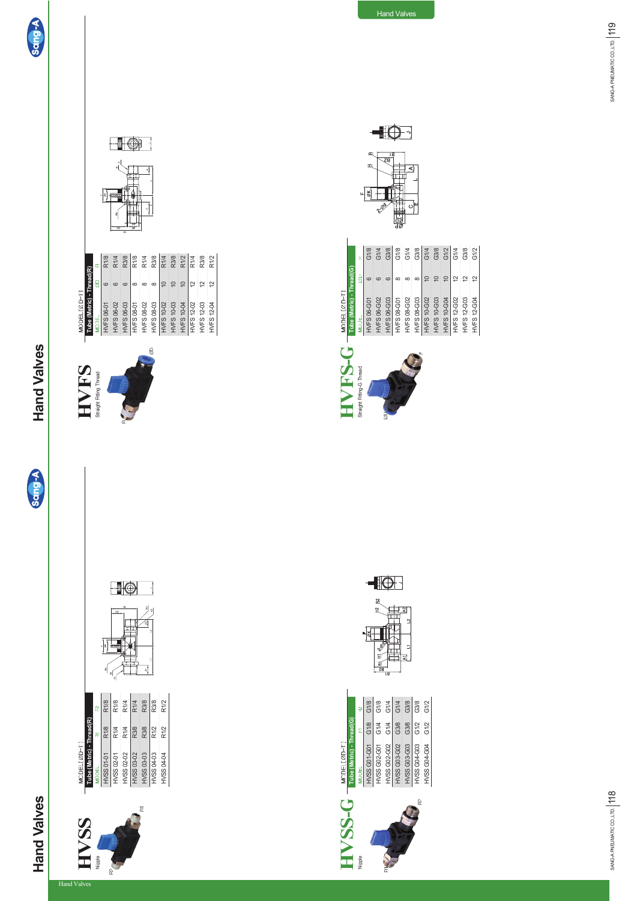



HVSS 01-01 HVSS 02-01

**HWSS Tube (MOBEL 8DFT)**<br>Naple **Construct Construct Construct Construct Construct Construct RM** 

**HVSS** 

MODEL[ØD-T]<br>Tube (Metric) - Thread(R)

Nipple

े<br>क्ष

Hand Valves

R1/8 R1/4 R1/4

R1/8 R1/8 R1/4

 $\blacksquare$ 

 $\overline{\phantom{a}}$ 

HVSS 02-02 HVSS 03-02 HVSS 03-03 HVSS 04-03

R3/8 R3/8 R1/2 R1/2

R1/4 R3/8 R3/8 R1/2

₹

HVSS 04-04



Sang-A













HVFS 08-02 HVFS 08-03 HVFS 10-02 HVFS 10-03 HVFS 10-04

 $\in$ 

**HVFS 12-02** HVFS 12-03 HVFS 12-04







 $-10$ 

**HWF**<br>Straight Engineer Straight Fitting-G Thread HVFS 12-G02 HVFS 12-G03 HVFS 12-G04

12 은 일

SANG-A PNEUMATIC CO.,LTD. 118